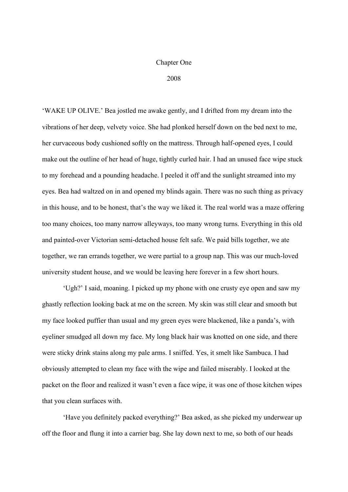## Chapter One

## 2008

'WAKE UP OLIVE.' Bea jostled me awake gently, and I drifted from my dream into the vibrations of her deep, velvety voice. She had plonked herself down on the bed next to me, her curvaceous body cushioned softly on the mattress. Through half-opened eyes, I could make out the outline of her head of huge, tightly curled hair. I had an unused face wipe stuck to my forehead and a pounding headache. I peeled it off and the sunlight streamed into my eyes. Bea had waltzed on in and opened my blinds again. There was no such thing as privacy in this house, and to be honest, that's the way we liked it. The real world was a maze offering too many choices, too many narrow alleyways, too many wrong turns. Everything in this old and painted-over Victorian semi-detached house felt safe. We paid bills together, we ate together, we ran errands together, we were partial to a group nap. This was our much-loved university student house, and we would be leaving here forever in a few short hours.

'Ugh?' I said, moaning. I picked up my phone with one crusty eye open and saw my ghastly reflection looking back at me on the screen. My skin was still clear and smooth but my face looked puffier than usual and my green eyes were blackened, like a panda's, with eyeliner smudged all down my face. My long black hair was knotted on one side, and there were sticky drink stains along my pale arms. I sniffed. Yes, it smelt like Sambuca. I had obviously attempted to clean my face with the wipe and failed miserably. I looked at the packet on the floor and realized it wasn't even a face wipe, it was one of those kitchen wipes that you clean surfaces with.

'Have you definitely packed everything?' Bea asked, as she picked my underwear up off the floor and flung it into a carrier bag. She lay down next to me, so both of our heads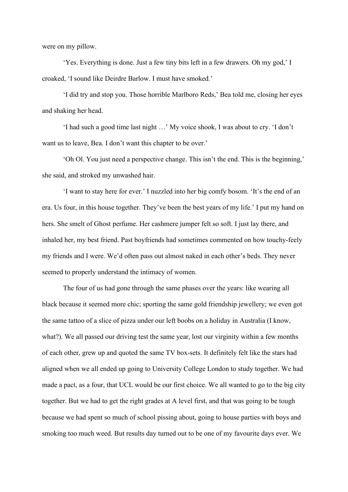were on my pillow.

'Yes. Everything is done. Just a few tiny bits left in a few drawers. Oh my god,' I croaked, 'I sound like Deirdre Barlow. I must have smoked.'

'I did try and stop you. Those horrible Marlboro Reds,' Bea told me, closing her eyes and shaking her head.

'I had such a good time last night …' My voice shook, I was about to cry. 'I don't want us to leave, Bea. I don't want this chapter to be over.'

'Oh Ol. You just need a perspective change. This isn't the end. This is the beginning,' she said, and stroked my unwashed hair.

'I want to stay here for ever.' I nuzzled into her big comfy bosom. 'It's the end of an era. Us four, in this house together. They've been the best years of my life.' I put my hand on hers. She smelt of Ghost perfume. Her cashmere jumper felt so soft. I just lay there, and inhaled her, my best friend. Past boyfriends had sometimes commented on how touchy-feely my friends and I were. We'd often pass out almost naked in each other's beds. They never seemed to properly understand the intimacy of women.

The four of us had gone through the same phases over the years: like wearing all black because it seemed more chic; sporting the same gold friendship jewellery; we even got the same tattoo of a slice of pizza under our left boobs on a holiday in Australia (I know, what?). We all passed our driving test the same year, lost our virginity within a few months of each other, grew up and quoted the same TV box-sets. It definitely felt like the stars had aligned when we all ended up going to University College London to study together. We had made a pact, as a four, that UCL would be our first choice. We all wanted to go to the big city together. But we had to get the right grades at A level first, and that was going to be tough because we had spent so much of school pissing about, going to house parties with boys and smoking too much weed. But results day turned out to be one of my favourite days ever. We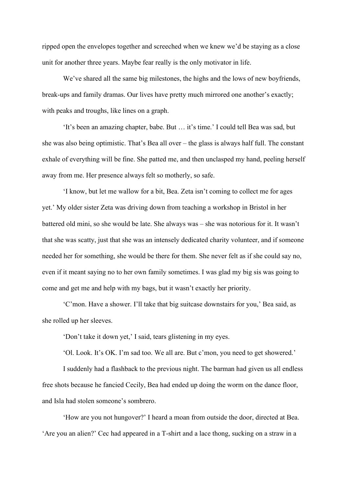ripped open the envelopes together and screeched when we knew we'd be staying as a close unit for another three years. Maybe fear really is the only motivator in life.

We've shared all the same big milestones, the highs and the lows of new boyfriends, break-ups and family dramas. Our lives have pretty much mirrored one another's exactly; with peaks and troughs, like lines on a graph.

'It's been an amazing chapter, babe. But … it's time.' I could tell Bea was sad, but she was also being optimistic. That's Bea all over – the glass is always half full. The constant exhale of everything will be fine. She patted me, and then unclasped my hand, peeling herself away from me. Her presence always felt so motherly, so safe.

'I know, but let me wallow for a bit, Bea. Zeta isn't coming to collect me for ages yet.' My older sister Zeta was driving down from teaching a workshop in Bristol in her battered old mini, so she would be late. She always was – she was notorious for it. It wasn't that she was scatty, just that she was an intensely dedicated charity volunteer, and if someone needed her for something, she would be there for them. She never felt as if she could say no, even if it meant saying no to her own family sometimes. I was glad my big sis was going to come and get me and help with my bags, but it wasn't exactly her priority.

'C'mon. Have a shower. I'll take that big suitcase downstairs for you,' Bea said, as she rolled up her sleeves.

'Don't take it down yet,' I said, tears glistening in my eyes.

'Ol. Look. It's OK. I'm sad too. We all are. But c'mon, you need to get showered.'

I suddenly had a flashback to the previous night. The barman had given us all endless free shots because he fancied Cecily, Bea had ended up doing the worm on the dance floor, and Isla had stolen someone's sombrero.

'How are you not hungover?' I heard a moan from outside the door, directed at Bea. 'Are you an alien?' Cec had appeared in a T-shirt and a lace thong, sucking on a straw in a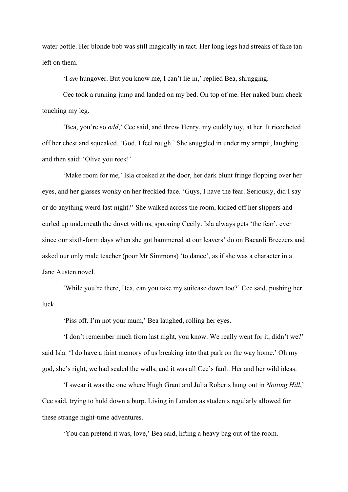water bottle. Her blonde bob was still magically in tact. Her long legs had streaks of fake tan left on them.

'I *am* hungover. But you know me, I can't lie in,' replied Bea, shrugging.

Cec took a running jump and landed on my bed. On top of me. Her naked bum cheek touching my leg.

'Bea, you're so *odd*,' Cec said, and threw Henry, my cuddly toy, at her. It ricocheted off her chest and squeaked. 'God, I feel rough.' She snuggled in under my armpit, laughing and then said: 'Olive you reek!'

'Make room for me,' Isla croaked at the door, her dark blunt fringe flopping over her eyes, and her glasses wonky on her freckled face. 'Guys, I have the fear. Seriously, did I say or do anything weird last night?' She walked across the room, kicked off her slippers and curled up underneath the duvet with us, spooning Cecily. Isla always gets 'the fear', ever since our sixth-form days when she got hammered at our leavers' do on Bacardi Breezers and asked our only male teacher (poor Mr Simmons) 'to dance', as if she was a character in a Jane Austen novel.

'While you're there, Bea, can you take my suitcase down too?' Cec said, pushing her luck.

'Piss off. I'm not your mum,' Bea laughed, rolling her eyes.

'I don't remember much from last night, you know. We really went for it, didn't we?' said Isla. 'I do have a faint memory of us breaking into that park on the way home.' Oh my god, she's right, we had scaled the walls, and it was all Cec's fault. Her and her wild ideas.

'I swear it was the one where Hugh Grant and Julia Roberts hung out in *Notting Hill*,' Cec said, trying to hold down a burp. Living in London as students regularly allowed for these strange night-time adventures.

'You can pretend it was, love,' Bea said, lifting a heavy bag out of the room.